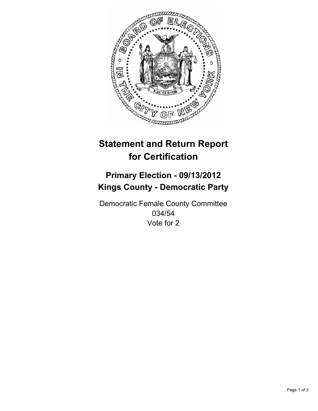

# **Statement and Return Report for Certification**

## **Primary Election - 09/13/2012 Kings County - Democratic Party**

Democratic Female County Committee 034/54 Vote for 2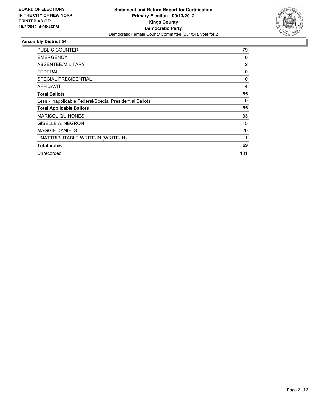

### **Assembly District 54**

| <b>PUBLIC COUNTER</b>                                    | 79             |
|----------------------------------------------------------|----------------|
| <b>EMERGENCY</b>                                         | 0              |
| ABSENTEE/MILITARY                                        | $\overline{2}$ |
| FEDERAL                                                  | 0              |
| <b>SPECIAL PRESIDENTIAL</b>                              | 0              |
| AFFIDAVIT                                                | 4              |
| <b>Total Ballots</b>                                     | 85             |
| Less - Inapplicable Federal/Special Presidential Ballots | 0              |
| <b>Total Applicable Ballots</b>                          | 85             |
| <b>MARISOL QUINONES</b>                                  | 33             |
| <b>GISELLE A. NEGRON</b>                                 | 15             |
| <b>MAGGIE DANIELS</b>                                    | 20             |
| UNATTRIBUTABLE WRITE-IN (WRITE-IN)                       | 1              |
| <b>Total Votes</b>                                       | 69             |
| Unrecorded                                               | 101            |